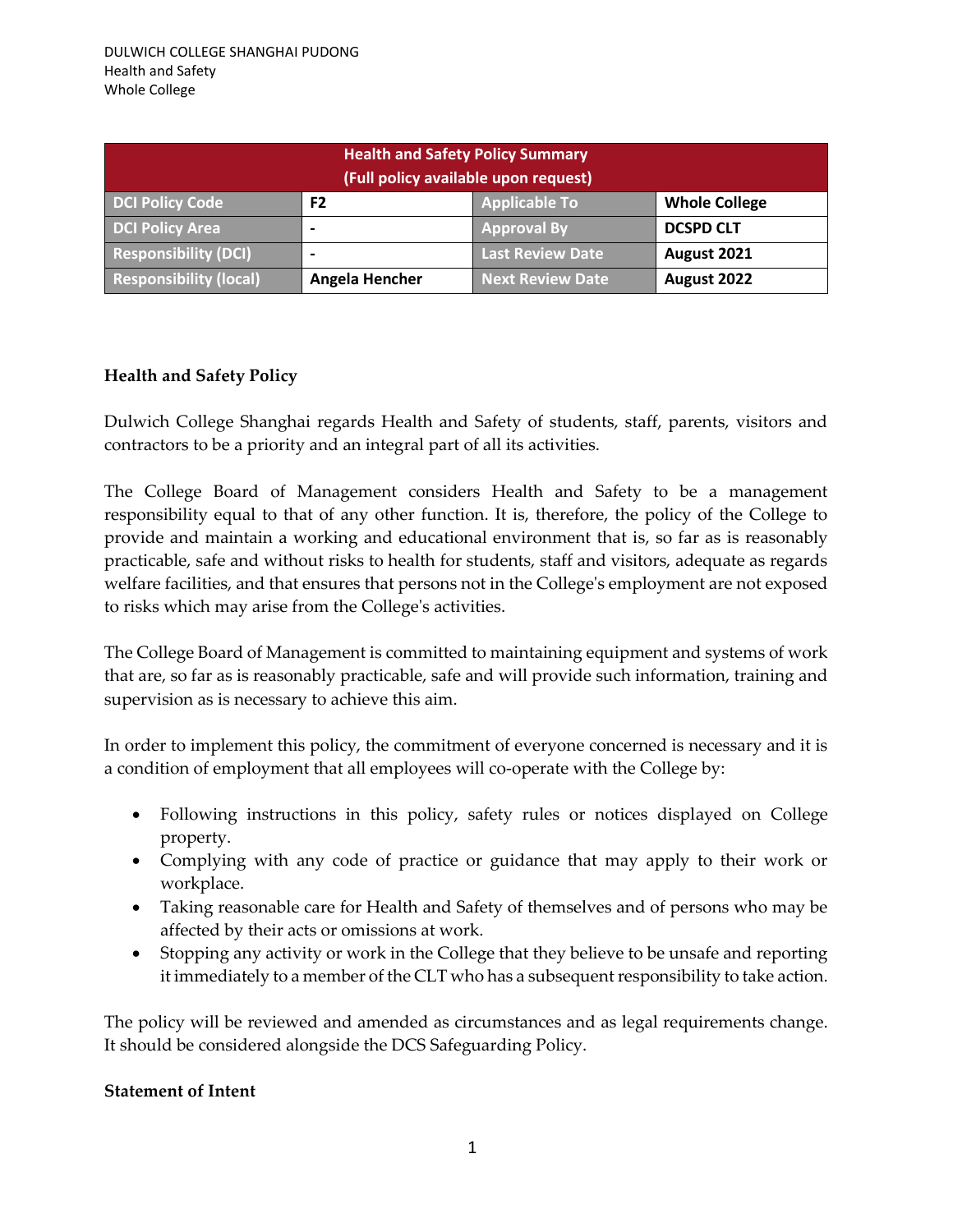| <b>Health and Safety Policy Summary</b><br>(Full policy available upon request) |                |                         |                      |  |
|---------------------------------------------------------------------------------|----------------|-------------------------|----------------------|--|
| <b>DCI Policy Code</b>                                                          | F <sub>2</sub> | <b>Applicable To</b>    | <b>Whole College</b> |  |
| <b>DCI Policy Area</b>                                                          |                | <b>Approval By</b>      | <b>DCSPD CLT</b>     |  |
| <b>Responsibility (DCI)</b>                                                     |                | <b>Last Review Date</b> | August 2021          |  |
| <b>Responsibility (local)</b>                                                   | Angela Hencher | <b>Next Review Date</b> | August 2022          |  |

## **Health and Safety Policy**

Dulwich College Shanghai regards Health and Safety of students, staff, parents, visitors and contractors to be a priority and an integral part of all its activities.

The College Board of Management considers Health and Safety to be a management responsibility equal to that of any other function. It is, therefore, the policy of the College to provide and maintain a working and educational environment that is, so far as is reasonably practicable, safe and without risks to health for students, staff and visitors, adequate as regards welfare facilities, and that ensures that persons not in the College's employment are not exposed to risks which may arise from the College's activities.

The College Board of Management is committed to maintaining equipment and systems of work that are, so far as is reasonably practicable, safe and will provide such information, training and supervision as is necessary to achieve this aim.

In order to implement this policy, the commitment of everyone concerned is necessary and it is a condition of employment that all employees will co-operate with the College by:

- Following instructions in this policy, safety rules or notices displayed on College property.
- Complying with any code of practice or guidance that may apply to their work or workplace.
- Taking reasonable care for Health and Safety of themselves and of persons who may be affected by their acts or omissions at work.
- Stopping any activity or work in the College that they believe to be unsafe and reporting it immediately to a member of the CLT who has a subsequent responsibility to take action.

The policy will be reviewed and amended as circumstances and as legal requirements change. It should be considered alongside the DCS Safeguarding Policy.

## **Statement of Intent**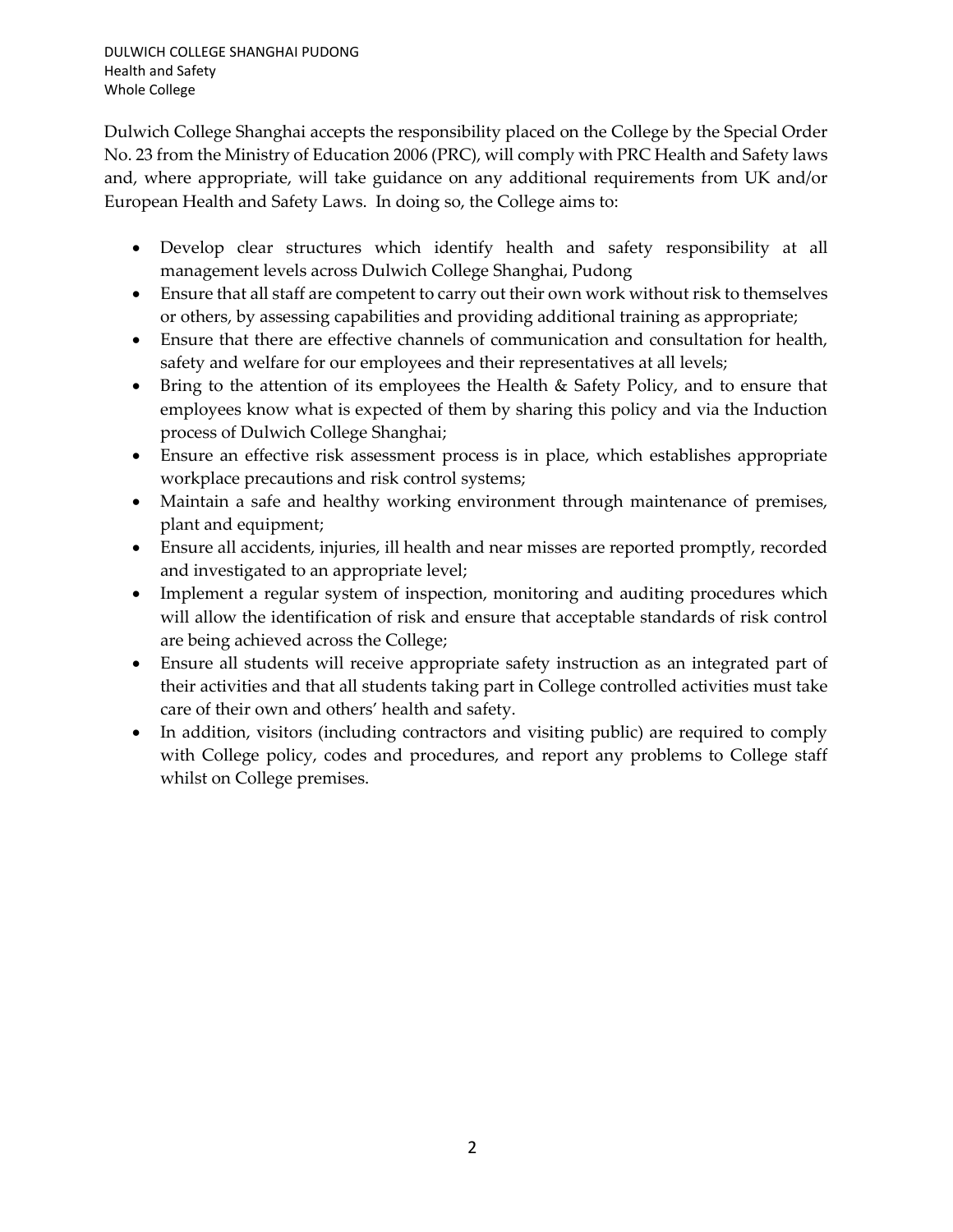Dulwich College Shanghai accepts the responsibility placed on the College by the Special Order No. 23 from the Ministry of Education 2006 (PRC), will comply with PRC Health and Safety laws and, where appropriate, will take guidance on any additional requirements from UK and/or European Health and Safety Laws. In doing so, the College aims to:

- Develop clear structures which identify health and safety responsibility at all management levels across Dulwich College Shanghai, Pudong
- Ensure that all staff are competent to carry out their own work without risk to themselves or others, by assessing capabilities and providing additional training as appropriate;
- Ensure that there are effective channels of communication and consultation for health, safety and welfare for our employees and their representatives at all levels;
- Bring to the attention of its employees the Health & Safety Policy, and to ensure that employees know what is expected of them by sharing this policy and via the Induction process of Dulwich College Shanghai;
- Ensure an effective risk assessment process is in place, which establishes appropriate workplace precautions and risk control systems;
- Maintain a safe and healthy working environment through maintenance of premises, plant and equipment;
- Ensure all accidents, injuries, ill health and near misses are reported promptly, recorded and investigated to an appropriate level;
- Implement a regular system of inspection, monitoring and auditing procedures which will allow the identification of risk and ensure that acceptable standards of risk control are being achieved across the College;
- Ensure all students will receive appropriate safety instruction as an integrated part of their activities and that all students taking part in College controlled activities must take care of their own and others' health and safety.
- In addition, visitors (including contractors and visiting public) are required to comply with College policy, codes and procedures, and report any problems to College staff whilst on College premises.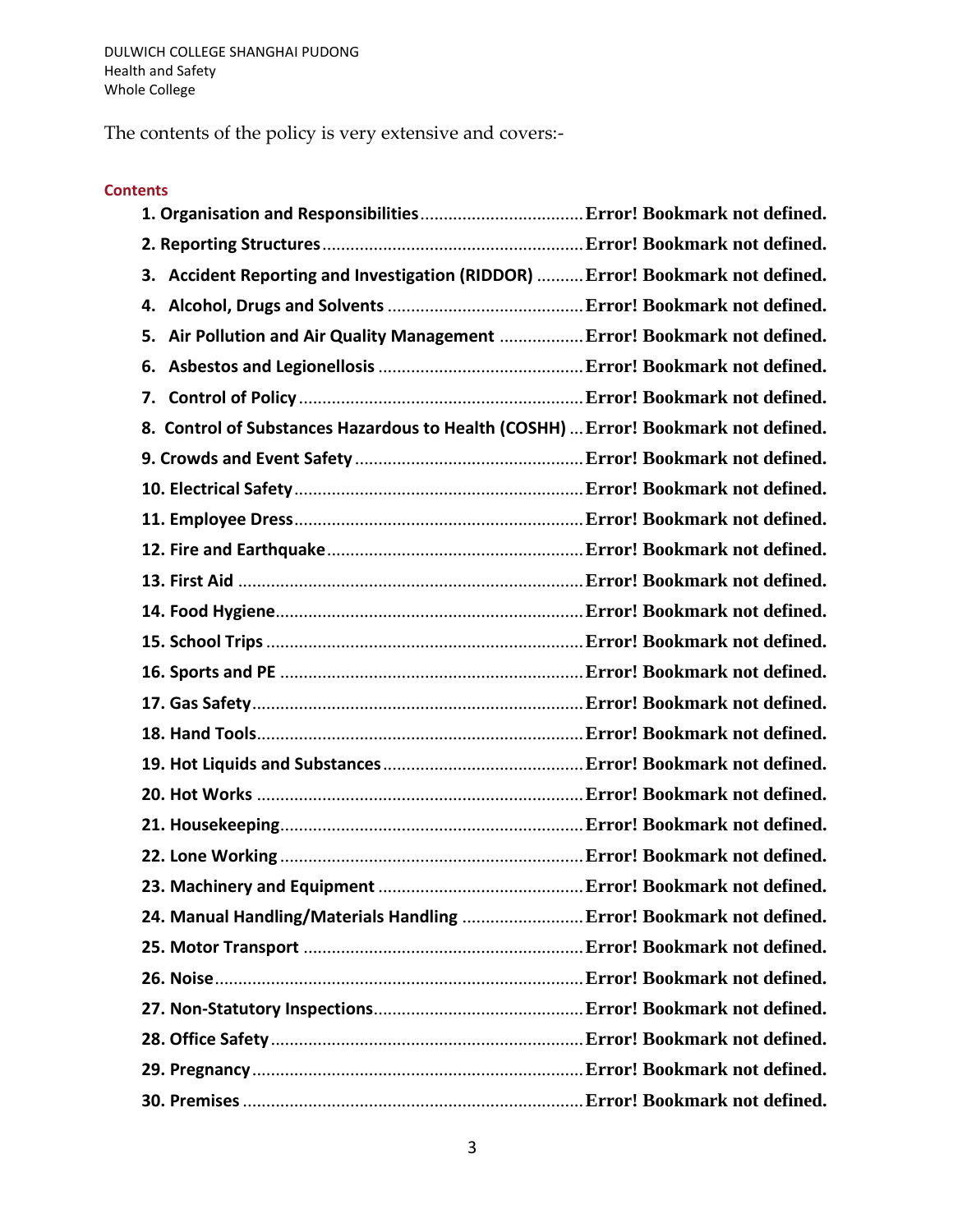The contents of the policy is very extensive and covers:-

## **Contents**

| Accident Reporting and Investigation (RIDDOR)  Error! Bookmark not defined.<br>З.  |  |
|------------------------------------------------------------------------------------|--|
|                                                                                    |  |
| Air Pollution and Air Quality Management  Error! Bookmark not defined.<br>5.       |  |
| 6.                                                                                 |  |
|                                                                                    |  |
| 8. Control of Substances Hazardous to Health (COSHH)  Error! Bookmark not defined. |  |
|                                                                                    |  |
|                                                                                    |  |
|                                                                                    |  |
|                                                                                    |  |
|                                                                                    |  |
|                                                                                    |  |
|                                                                                    |  |
|                                                                                    |  |
|                                                                                    |  |
|                                                                                    |  |
|                                                                                    |  |
|                                                                                    |  |
|                                                                                    |  |
|                                                                                    |  |
|                                                                                    |  |
| 24. Manual Handling/Materials Handling  Error! Bookmark not defined.               |  |
|                                                                                    |  |
|                                                                                    |  |
|                                                                                    |  |
|                                                                                    |  |
|                                                                                    |  |
|                                                                                    |  |